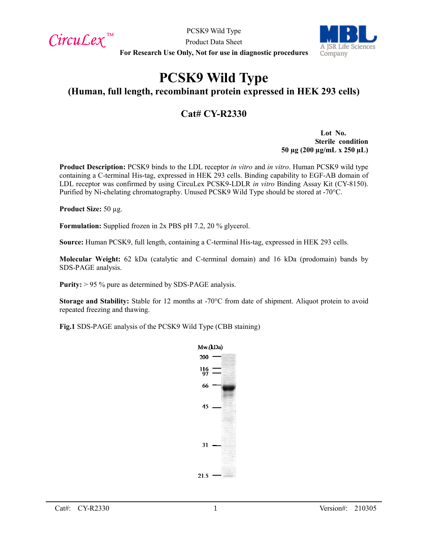$CircuLex$ <sup>TM</sup>

PCSK9 Wild Type Product Data Sheet



**For Research Use Only, Not for use in diagnostic procedures**

# **PCSK9 Wild Type**

## **(Human, full length, recombinant protein expressed in HEK 293 cells)**

## **Cat# CY-R2330**

**Lot No. Sterile condition 50 µg (200 µg/mL x 250 µL)**

**Product Description:** PCSK9 binds to the LDL receptor *in vitro* and *in vitro*. Human PCSK9 wild type containing a C-terminal His-tag, expressed in HEK 293 cells. Binding capability to EGF-AB domain of LDL receptor was confirmed by using CircuLex PCSK9-LDLR *in vitro* Binding Assay Kit (CY-8150). Purified by Ni-chelating chromatography. Unused PCSK9 Wild Type should be stored at -70°C.

**Product Size:** 50 µg.

**Formulation:** Supplied frozen in 2x PBS pH 7.2, 20 % glycerol.

**Source:** Human PCSK9, full length, containing a C-terminal His-tag, expressed in HEK 293 cells.

**Molecular Weight:** 62 kDa (catalytic and C-terminal domain) and 16 kDa (prodomain) bands by SDS-PAGE analysis.

**Purity:** > 95 % pure as determined by SDS-PAGE analysis.

**Storage and Stability:** Stable for 12 months at -70°C from date of shipment. Aliquot protein to avoid repeated freezing and thawing.

**Fig.1** SDS-PAGE analysis of the PCSK9 Wild Type (CBB staining)